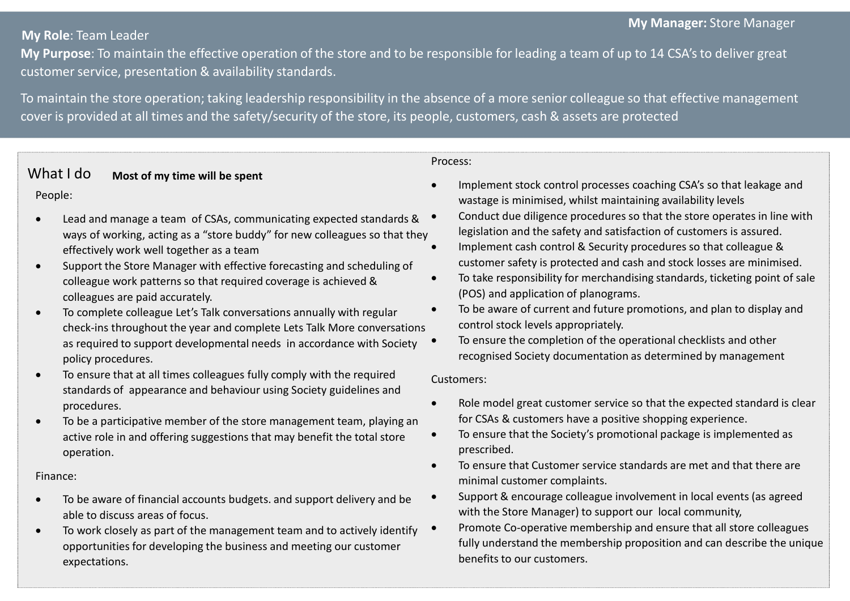# My Manager: Store Manager

My Role: Team Leader<br>My Purpose: To maintain the effective operation of the store and to<br>customer service, presentation & availability standards.<br>To maintain the store operation; taking leadership responsibility in t customer service, presentation & availability standards.

My Role: Team Leader<br>My Purpose: To maintain the effective operation of the store and to be responsible for leading a team of up to 14 CSA's to deliver great<br>Customer service, presentation & availability standards.<br>To main My Role: Team Leader<br>
My Purpose: To maintain the effective operation of the store and to be responsible for leading a team of up to 14 CSA's to deliver great<br>
customer service, presentation & availability standards.<br>
To m **Cover is provided at all times and the specialisty standards.**<br> **Cover is provided at all times and the safety/security of the store and to be responsible for leading a team of up to 14 CSA's to deliver great<br>
To maintain** My Manager: Store Manager<br>
esponsible for leading a team of up to 14 CSA's to deliver great<br>
bsence of a more senior colleague so that effective management<br>
ple, customers, cash & assets are protected<br>
Process:<br>
• Implemen

### Process:

# What I do Most of my time will be spent

## People:

- Lead and manage a team of CSAs, communicating expected standards & ways of working, acting as a "store buddy" for new colleagues so that they effectively work well together as a team
- Support the Store Manager with effective forecasting and scheduling of colleague work patterns so that required coverage is achieved & colleagues are paid accurately.
- To complete colleague Let's Talk conversations annually with regular check-ins throughout the year and complete Lets Talk More conversations as required to support developmental needs in accordance with Society  $\bullet$ policy procedures.
- To ensure that at all times colleagues fully comply with the required standards of appearance and behaviour using Society guidelines and procedures.
- To be a participative member of the store management team, playing an active role in and offering suggestions that may benefit the total store operation.

## Finance:

- To be aware of financial accounts budgets. and support delivery and be  $\bullet$ able to discuss areas of focus.
- To work closely as part of the management team and to actively identify opportunities for developing the business and meeting our customer expectations.
- wastage is minimised, whilst maintaining availability levels
- Conduct due diligence procedures so that the store operates in line with legislation and the safety and satisfaction of customers is assured.
- Implement cash control & Security procedures so that colleague & customer safety is protected and cash and stock losses are minimised.
- To take responsibility for merchandising standards, ticketing point of sale (POS) and application of planograms.
- To be aware of current and future promotions, and plan to display and control stock levels appropriately.
- To ensure the completion of the operational checklists and other recognised Society documentation as determined by management

## Customers:

- Role model great customer service so that the expected standard is clear for CSAs & customers have a positive shopping experience.
- To ensure that the Society's promotional package is implemented as prescribed.
- To ensure that Customer service standards are met and that there are minimal customer complaints.
- Support & encourage colleague involvement in local events (as agreed with the Store Manager) to support our local community,
- Promote Co-operative membership and ensure that all store colleagues fully understand the membership proposition and can describe the unique benefits to our customers.